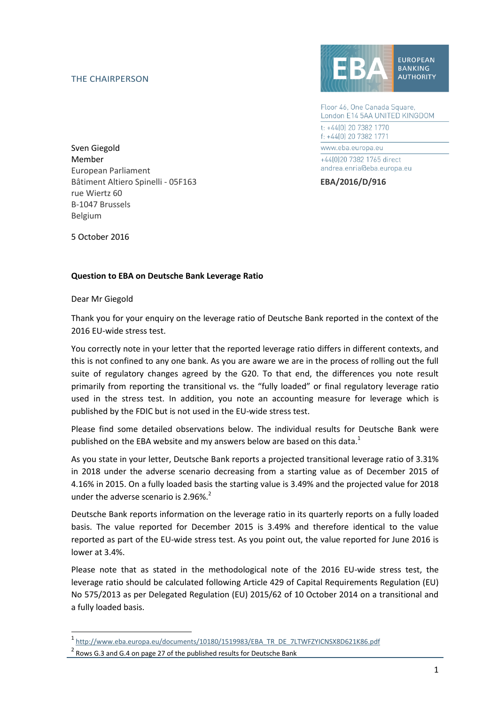## THE CHAIRPERSON



Floor 46, One Canada Square, London E14 5AA UNITED KINGDOM t: +44[0] 20 7382 1770 f: +44(0) 20 7382 1771 www.eba.europa.eu +44[0]20 7382 1765 direct andrea.enria@eba.europa.eu

Sven Giegold Member European Parliament Bâtiment Altiero Spinelli - 05F163 **EBA/2016/D/916** rue Wiertz 60 B-1047 Brussels Belgium

5 October 2016

## **Question to EBA on Deutsche Bank Leverage Ratio**

Dear Mr Giegold

1

Thank you for your enquiry on the leverage ratio of Deutsche Bank reported in the context of the 2016 EU-wide stress test.

You correctly note in your letter that the reported leverage ratio differs in different contexts, and this is not confined to any one bank. As you are aware we are in the process of rolling out the full suite of regulatory changes agreed by the G20. To that end, the differences you note result primarily from reporting the transitional vs. the "fully loaded" or final regulatory leverage ratio used in the stress test. In addition, you note an accounting measure for leverage which is published by the FDIC but is not used in the EU-wide stress test.

Please find some detailed observations below. The individual results for Deutsche Bank were published on the EBA website and my answers below are based on this data.<sup>1</sup>

As you state in your letter, Deutsche Bank reports a projected transitional leverage ratio of 3.31% in 2018 under the adverse scenario decreasing from a starting value as of December 2015 of 4.16% in 2015. On a fully loaded basis the starting value is 3.49% and the projected value for 2018 under the adverse scenario is 2.96%.<sup>2</sup>

Deutsche Bank reports information on the leverage ratio in its quarterly reports on a fully loaded basis. The value reported for December 2015 is 3.49% and therefore identical to the value reported as part of the EU-wide stress test. As you point out, the value reported for June 2016 is lower at 3.4%.

Please note that as stated in the methodological note of the 2016 EU-wide stress test, the leverage ratio should be calculated following Article 429 of Capital Requirements Regulation (EU) No 575/2013 as per Delegated Regulation (EU) 2015/62 of 10 October 2014 on a transitional and a fully loaded basis.

<sup>1</sup> [http://www.eba.europa.eu/documents/10180/1519983/EBA\\_TR\\_DE\\_7LTWFZYICNSX8D621K86.pdf](http://www.eba.europa.eu/documents/10180/1519983/EBA_TR_DE_7LTWFZYICNSX8D621K86.pdf)

 $2$  Rows G.3 and G.4 on page 27 of the published results for Deutsche Bank